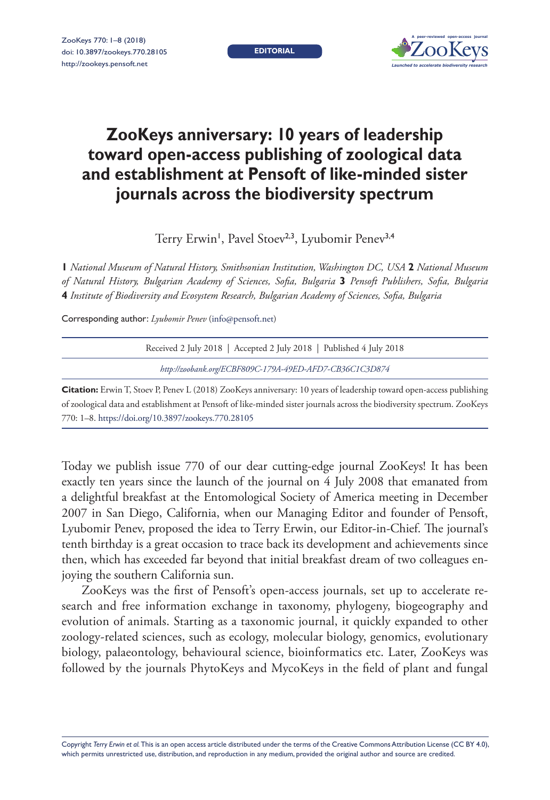**EDITORIAL**



## **ZooKeys anniversary: 10 years of leadership toward open-access publishing of zoological data and establishment at Pensoft of like-minded sister journals across the biodiversity spectrum**

Terry Erwin', Pavel Stoev<sup>2,3</sup>, Lyubomir Penev<sup>3,4</sup>

**1** *National Museum of Natural History, Smithsonian Institution, Washington DC, USA* **2** *National Museum of Natural History, Bulgarian Academy of Sciences, Sofia, Bulgaria* **3** *Pensoft Publishers, Sofia, Bulgaria*  **4** *Institute of Biodiversity and Ecosystem Research, Bulgarian Academy of Sciences, Sofia, Bulgaria*

Corresponding author: *Lyubomir Penev* [\(info@pensoft.net\)](mailto:info@pensoft.net)

| Received 2 July 2018   Accepted 2 July 2018   Published 4 July 2018                                                         |
|-----------------------------------------------------------------------------------------------------------------------------|
| http://zoobank.org/ECBF809C-179A-49ED-AFD7-CB36C1C3D874                                                                     |
| <b>Citation:</b> Erwin T, Stoev P, Penev L (2018) ZooKeys anniversary: 10 years of leadership toward open-access publishing |

of zoological data and establishment at Pensoft of like-minded sister journals across the biodiversity spectrum. ZooKeys 770: 1–8. <https://doi.org/10.3897/zookeys.770.28105>

Today we publish issue 770 of our dear cutting-edge journal ZooKeys! It has been exactly ten years since the launch of the journal on 4 July 2008 that emanated from a delightful breakfast at the Entomological Society of America meeting in December 2007 in San Diego, California, when our Managing Editor and founder of Pensoft, Lyubomir Penev, proposed the idea to Terry Erwin, our Editor-in-Chief. The journal's tenth birthday is a great occasion to trace back its development and achievements since then, which has exceeded far beyond that initial breakfast dream of two colleagues enjoying the southern California sun.

ZooKeys was the first of Pensoft's open-access journals, set up to accelerate research and free information exchange in taxonomy, phylogeny, biogeography and evolution of animals. Starting as a taxonomic journal, it quickly expanded to other zoology-related sciences, such as ecology, molecular biology, genomics, evolutionary biology, palaeontology, behavioural science, bioinformatics etc. Later, ZooKeys was followed by the journals PhytoKeys and MycoKeys in the field of plant and fungal

Copyright *Terry Erwin et al.* This is an open access article distributed under the terms of the [Creative Commons Attribution License \(CC BY 4.0\),](http://creativecommons.org/licenses/by/4.0/) which permits unrestricted use, distribution, and reproduction in any medium, provided the original author and source are credited.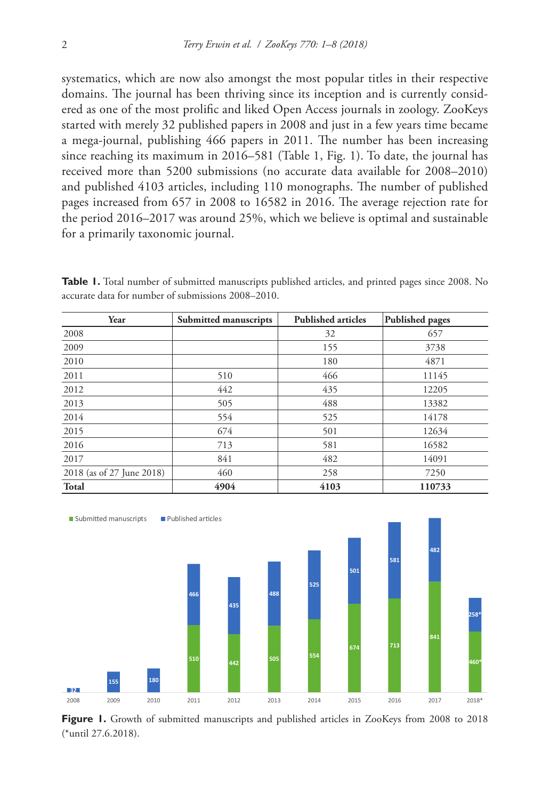systematics, which are now also amongst the most popular titles in their respective domains. The journal has been thriving since its inception and is currently considered as one of the most prolific and liked Open Access journals in zoology. ZooKeys started with merely 32 published papers in 2008 and just in a few years time became a mega-journal, publishing 466 papers in 2011. The number has been increasing since reaching its maximum in 2016–581 (Table 1, Fig. 1). To date, the journal has received more than 5200 submissions (no accurate data available for 2008–2010) and published 4103 articles, including 110 monographs. The number of published pages increased from 657 in 2008 to 16582 in 2016. The average rejection rate for the period 2016–2017 was around 25%, which we believe is optimal and sustainable for a primarily taxonomic journal.

| Year                      | Submitted manuscripts | <b>Published articles</b> | <b>Published pages</b> |
|---------------------------|-----------------------|---------------------------|------------------------|
| 2008                      |                       | 32                        | 657                    |
| 2009                      |                       | 155                       | 3738                   |
| 2010                      |                       | 180                       | 4871                   |
| 2011                      | 510                   | 466                       | 11145                  |
| 2012                      | 442                   | 435                       | 12205                  |
| 2013                      | 505                   | 488                       | 13382                  |
| 2014                      | 554                   | 525                       | 14178                  |
| 2015                      | 674                   | 501                       | 12634                  |
| 2016                      | 713                   | 581                       | 16582                  |
| 2017                      | 841                   | 482                       | 14091                  |
| 2018 (as of 27 June 2018) | 460                   | 258                       | 7250                   |
| <b>Total</b>              | 4904                  | 4103                      | 110733                 |

**Table 1.** Total number of submitted manuscripts published articles, and printed pages since 2008. No accurate data for number of submissions 2008–2010.



Figure 1. Growth of submitted manuscripts and published articles in ZooKeys from 2008 to 2018 (\*until 27.6.2018).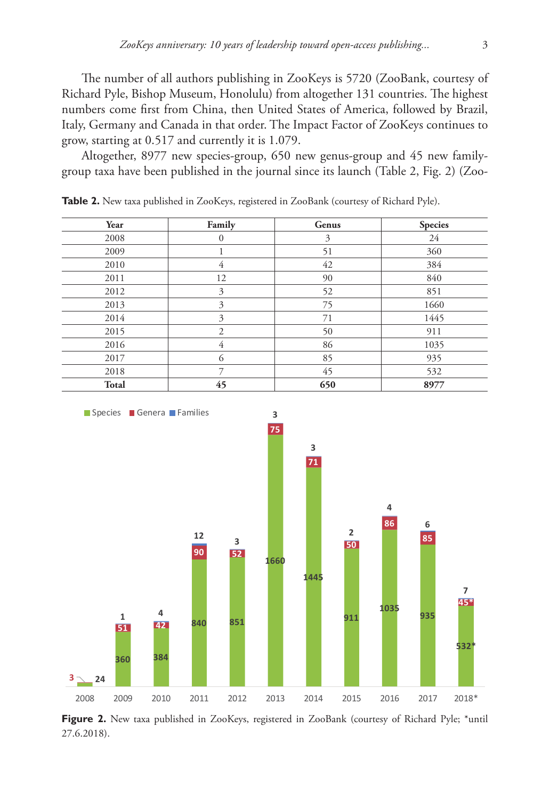The number of all authors publishing in ZooKeys is 5720 (ZooBank, courtesy of Richard Pyle, Bishop Museum, Honolulu) from altogether 131 countries. The highest numbers come first from China, then United States of America, followed by Brazil, Italy, Germany and Canada in that order. The Impact Factor of ZooKeys continues to grow, starting at 0.517 and currently it is 1.079.

Altogether, 8977 new species-group, 650 new genus-group and 45 new familygroup taxa have been published in the journal since its launch (Table 2, Fig. 2) (Zoo-

| Year         | Family       | Genus | <b>Species</b> |
|--------------|--------------|-------|----------------|
| 2008         | $\mathbf{0}$ | 3     | 24             |
| 2009         |              | 51    | 360            |
| 2010         | 4            | 42    | 384            |
| 2011         | 12           | 90    | 840            |
| 2012         | 3            | 52    | 851            |
| 2013         | 3            | 75    | 1660           |
| 2014         | 3            | 71    | 1445           |
| 2015         | 2            | 50    | 911            |
| 2016         | 4            | 86    | 1035           |
| 2017         | 6            | 85    | 935            |
| 2018         | 7            | 45    | 532            |
| <b>Total</b> | 45           | 650   | 8977           |

Table 2. New taxa published in ZooKeys, registered in ZooBank (courtesy of Richard Pyle).



Figure 2. New taxa published in ZooKeys, registered in ZooBank (courtesy of Richard Pyle; \*until 27.6.2018).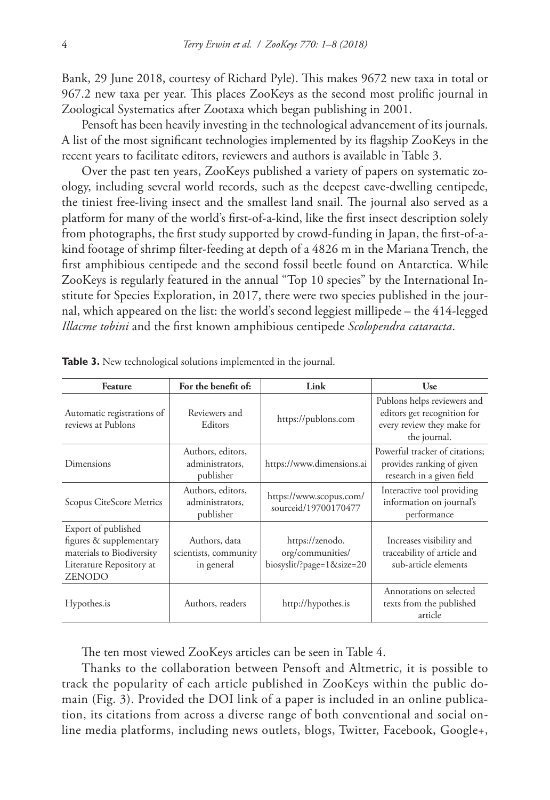Bank, 29 June 2018, courtesy of Richard Pyle). This makes 9672 new taxa in total or 967.2 new taxa per year. This places ZooKeys as the second most prolific journal in Zoological Systematics after Zootaxa which began publishing in 2001.

Pensoft has been heavily investing in the technological advancement of its journals. A list of the most significant technologies implemented by its flagship ZooKeys in the recent years to facilitate editors, reviewers and authors is available in Table 3.

Over the past ten years, ZooKeys published a variety of papers on systematic zoology, including several world records, such as the deepest cave-dwelling centipede, the tiniest free-living insect and the smallest land snail. The journal also served as a platform for many of the world's first-of-a-kind, like the first insect description solely from photographs, the first study supported by crowd-funding in Japan, the first-of-akind footage of shrimp filter-feeding at depth of a 4826 m in the Mariana Trench, the first amphibious centipede and the second fossil beetle found on Antarctica. While ZooKeys is regularly featured in the annual "Top 10 species" by the International Institute for Species Exploration, in 2017, there were two species published in the journal, which appeared on the list: the world's second leggiest millipede – the 414-legged *Illacme tobini* and the first known amphibious centipede *Scolopendra cataracta*.

| <b>Feature</b>                                                                                                           | For the benefit of:                                  | Link                                                             | Use                                                                                                      |
|--------------------------------------------------------------------------------------------------------------------------|------------------------------------------------------|------------------------------------------------------------------|----------------------------------------------------------------------------------------------------------|
| Automatic registrations of<br>reviews at Publons                                                                         | Reviewers and<br>Editors                             | https://publons.com                                              | Publons helps reviewers and<br>editors get recognition for<br>every review they make for<br>the journal. |
| Dimensions                                                                                                               | Authors, editors,<br>administrators,<br>publisher    | https://www.dimensions.ai                                        | Powerful tracker of citations:<br>provides ranking of given<br>research in a given field                 |
| Scopus CiteScore Metrics                                                                                                 | Authors, editors,<br>administrators.<br>publisher    | https://www.scopus.com/<br>sourceid/19700170477                  | Interactive tool providing<br>information on journal's<br>performance                                    |
| Export of published<br>figures & supplementary<br>materials to Biodiversity<br>Literature Repository at<br><b>ZENODO</b> | Authors, data<br>scientists, community<br>in general | https://zenodo.<br>org/communities/<br>biosyslit/?page=1&size=20 | Increases visibility and<br>traceability of article and<br>sub-article elements                          |
| Hypothes.is                                                                                                              | Authors, readers                                     | http://hypothes.is                                               | Annotations on selected<br>texts from the published<br>article                                           |

**Table 3.** New technological solutions implemented in the journal.

The ten most viewed ZooKeys articles can be seen in Table 4.

Thanks to the collaboration between Pensoft and Altmetric, it is possible to track the popularity of each article published in ZooKeys within the public domain (Fig. 3). Provided the DOI link of a paper is included in an online publication, its citations from across a diverse range of both conventional and social online media platforms, including news outlets, blogs, Twitter, Facebook, Google+,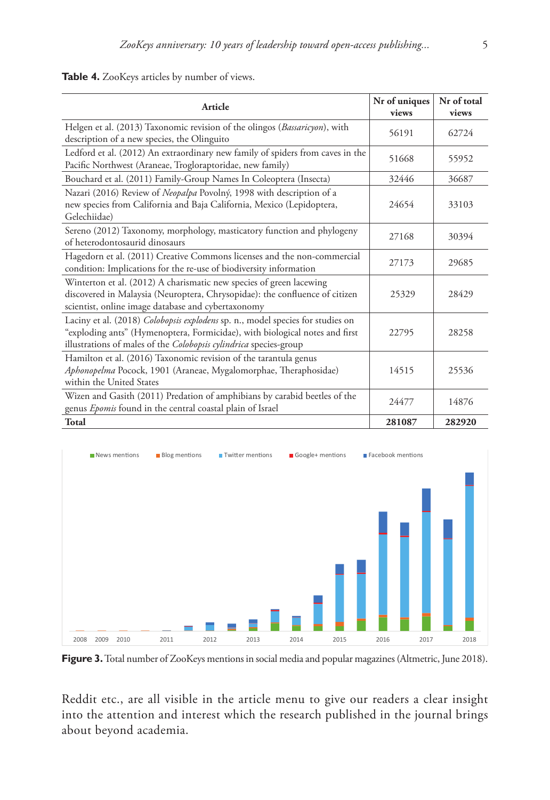## **Table 4.** ZooKeys articles by number of views.

| Article                                                                                                                                                                                                                            | Nr of uniques<br>views | Nr of total<br>views |
|------------------------------------------------------------------------------------------------------------------------------------------------------------------------------------------------------------------------------------|------------------------|----------------------|
| Helgen et al. (2013) Taxonomic revision of the olingos (Bassaricyon), with<br>description of a new species, the Olinguito                                                                                                          | 56191                  | 62724                |
| Ledford et al. (2012) An extraordinary new family of spiders from caves in the<br>Pacific Northwest (Araneae, Trogloraptoridae, new family)                                                                                        | 51668                  | 55952                |
| Bouchard et al. (2011) Family-Group Names In Coleoptera (Insecta)                                                                                                                                                                  | 32446                  | 36687                |
| Nazari (2016) Review of Neopalpa Povolný, 1998 with description of a<br>new species from California and Baja California, Mexico (Lepidoptera,<br>Gelechiidae)                                                                      | 24654                  | 33103                |
| Sereno (2012) Taxonomy, morphology, masticatory function and phylogeny<br>of heterodontosaurid dinosaurs                                                                                                                           | 27168                  | 30394                |
| Hagedorn et al. (2011) Creative Commons licenses and the non-commercial<br>condition: Implications for the re-use of biodiversity information                                                                                      | 27173                  | 29685                |
| Winterton et al. (2012) A charismatic new species of green lacewing<br>discovered in Malaysia (Neuroptera, Chrysopidae): the confluence of citizen<br>scientist, online image database and cybertaxonomy                           | 25329                  | 28429                |
| Laciny et al. (2018) Colobopsis explodens sp. n., model species for studies on<br>"exploding ants" (Hymenoptera, Formicidae), with biological notes and first<br>illustrations of males of the Colobopsis cylindrica species-group | 22795                  | 28258                |
| Hamilton et al. (2016) Taxonomic revision of the tarantula genus<br>Aphonopelma Pocock, 1901 (Araneae, Mygalomorphae, Theraphosidae)<br>within the United States                                                                   | 14515                  | 25536                |
| Wizen and Gasith (2011) Predation of amphibians by carabid beetles of the<br>genus Epomis found in the central coastal plain of Israel                                                                                             | 24477                  | 14876                |
| Total                                                                                                                                                                                                                              | 281087                 | 282920               |



Figure 3. Total number of ZooKeys mentions in social media and popular magazines (Altmetric, June 2018).

Reddit etc., are all visible in the article menu to give our readers a clear insight into the attention and interest which the research published in the journal brings about beyond academia.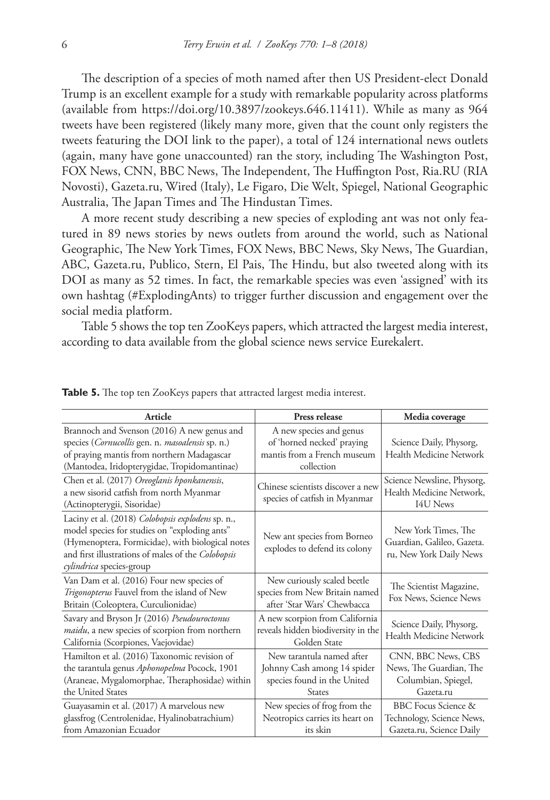The description of a species of moth named after then US President-elect Donald Trump is an excellent example for a study with remarkable popularity across platforms (available from [https://doi.org/10.3897/zookeys.646.11411\)](https://doi.org/10.3897/zookeys.646.11411). While as many as 964 tweets have been registered (likely many more, given that the count only registers the tweets featuring the DOI link to the paper), a total of 124 international news outlets (again, many have gone unaccounted) ran the story, including The Washington Post, FOX News, CNN, BBC News, The Independent, The Huffington Post, Ria.RU (RIA Novosti), Gazeta.ru, Wired (Italy), Le Figaro, Die Welt, Spiegel, National Geographic Australia, The Japan Times and The Hindustan Times.

A more recent study describing a new species of exploding ant was not only featured in 89 news stories by news outlets from around the world, such as National Geographic, The New York Times, FOX News, BBC News, Sky News, The Guardian, ABC, Gazeta.ru, Publico, Stern, El Pais, The Hindu, but also tweeted along with its DOI as many as 52 times. In fact, the remarkable species was even 'assigned' with its own hashtag (#ExplodingAnts) to trigger further discussion and engagement over the social media platform.

Table 5 shows the top ten ZooKeys papers, which attracted the largest media interest, according to data available from the global science news service Eurekalert.

| Article                                                                                                                                                                                                                                         | <b>Press release</b>                                                                                     | Media coverage                                                                    |
|-------------------------------------------------------------------------------------------------------------------------------------------------------------------------------------------------------------------------------------------------|----------------------------------------------------------------------------------------------------------|-----------------------------------------------------------------------------------|
| Brannoch and Svenson (2016) A new genus and<br>species (Cornucollis gen. n. masoalensis sp. n.)<br>of praying mantis from northern Madagascar<br>(Mantodea, Iridopterygidae, Tropidomantinae)                                                   | A new species and genus<br>of 'horned necked' praying<br>mantis from a French museum<br>collection       | Science Daily, Physorg,<br>Health Medicine Network                                |
| Chen et al. (2017) Oreoglanis hponkanensis,<br>a new sisorid catfish from north Myanmar<br>(Actinopterygii, Sisoridae)                                                                                                                          | Chinese scientists discover a new<br>species of catfish in Myanmar                                       | Science Newsline, Physorg,<br>Health Medicine Network,<br>I4U News                |
| Laciny et al. (2018) Colobopsis explodens sp. n.,<br>model species for studies on "exploding ants"<br>(Hymenoptera, Formicidae), with biological notes<br>and first illustrations of males of the Colobopsis<br><i>cylindrica</i> species-group | New ant species from Borneo<br>explodes to defend its colony                                             | New York Times, The<br>Guardian, Galileo, Gazeta.<br>ru, New York Daily News      |
| Van Dam et al. (2016) Four new species of<br>Trigonopterus Fauvel from the island of New<br>Britain (Coleoptera, Curculionidae)                                                                                                                 | New curiously scaled beetle<br>species from New Britain named<br>after 'Star Wars' Chewbacca             | The Scientist Magazine,<br>Fox News, Science News                                 |
| Savary and Bryson Jr (2016) Pseudouroctonus<br><i>maidu</i> , a new species of scorpion from northern<br>California (Scorpiones, Vaejovidae)                                                                                                    | A new scorpion from California<br>reveals hidden biodiversity in the<br>Golden State                     | Science Daily, Physorg,<br>Health Medicine Network                                |
| Hamilton et al. (2016) Taxonomic revision of<br>the tarantula genus Aphonopelma Pocock, 1901<br>(Araneae, Mygalomorphae, Theraphosidae) within<br>the United States                                                                             | New tarantula named after<br>Johnny Cash among 14 spider<br>species found in the United<br><b>States</b> | CNN, BBC News, CBS<br>News, The Guardian, The<br>Columbian, Spiegel,<br>Gazeta.ru |
| Guayasamin et al. (2017) A marvelous new<br>glassfrog (Centrolenidae, Hyalinobatrachium)<br>from Amazonian Ecuador                                                                                                                              | New species of frog from the<br>Neotropics carries its heart on<br>its skin                              | BBC Focus Science &<br>Technology, Science News,<br>Gazeta.ru, Science Daily      |

**Table 5.** The top ten ZooKeys papers that attracted largest media interest.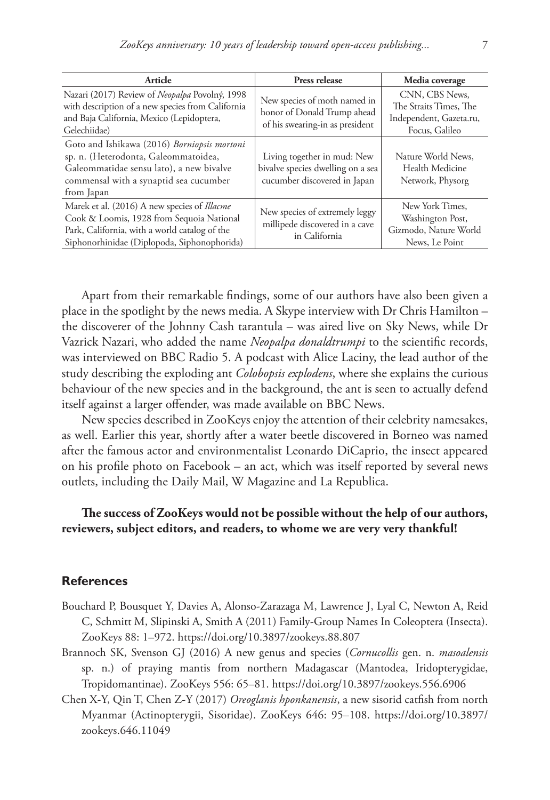| Article                                                                                                                                                                                          | Press release                                                                                    | Media coverage                                                                        |
|--------------------------------------------------------------------------------------------------------------------------------------------------------------------------------------------------|--------------------------------------------------------------------------------------------------|---------------------------------------------------------------------------------------|
| Nazari (2017) Review of Neopalpa Povolný, 1998<br>with description of a new species from California<br>and Baja California, Mexico (Lepidoptera,<br>Gelechiidae)                                 | New species of moth named in<br>honor of Donald Trump ahead<br>of his swearing-in as president   | CNN, CBS News,<br>The Straits Times, The<br>Independent, Gazeta.ru,<br>Focus, Galileo |
| Goto and Ishikawa (2016) Borniopsis mortoni<br>sp. n. (Heterodonta, Galeommatoidea,<br>Galeommatidae sensu lato), a new bivalve<br>commensal with a synaptid sea cucumber<br>from Japan          | Living together in mud: New<br>bivalve species dwelling on a sea<br>cucumber discovered in Japan | Nature World News,<br>Health Medicine<br>Network, Physorg                             |
| Marek et al. (2016) A new species of <i>Illacme</i><br>Cook & Loomis, 1928 from Sequoia National<br>Park, California, with a world catalog of the<br>Siphonorhinidae (Diplopoda, Siphonophorida) | New species of extremely leggy<br>millipede discovered in a cave<br>in California                | New York Times,<br>Washington Post,<br>Gizmodo, Nature World<br>News, Le Point        |

Apart from their remarkable findings, some of our authors have also been given a place in the spotlight by the news media. A Skype interview with Dr Chris Hamilton – the discoverer of the Johnny Cash tarantula – was aired live on Sky News, while Dr Vazrick Nazari, who added the name *Neopalpa donaldtrumpi* to the scientific records, was interviewed on BBC Radio 5. A podcast with Alice Laciny, the lead author of the study describing the exploding ant *Colobopsis explodens*, where she explains the curious behaviour of the new species and in the background, the ant is seen to actually defend itself against a larger offender, was made available on BBC News.

New species described in ZooKeys enjoy the attention of their celebrity namesakes, as well. Earlier this year, shortly after a water beetle discovered in Borneo was named after the famous actor and environmentalist Leonardo DiCaprio, the insect appeared on his profile photo on Facebook – an act, which was itself reported by several news outlets, including the Daily Mail, W Magazine and La Republica.

## **The success of ZooKeys would not be possible without the help of our authors, reviewers, subject editors, and readers, to whome we are very very thankful!**

## **References**

- Bouchard P, Bousquet Y, Davies A, Alonso-Zarazaga M, Lawrence J, Lyal C, Newton A, Reid C, Schmitt M, Slipinski A, Smith A (2011) Family-Group Names In Coleoptera (Insecta). ZooKeys 88: 1–972.<https://doi.org/10.3897/zookeys.88.807>
- Brannoch SK, Svenson GJ (2016) A new genus and species (*Cornucollis* gen. n. *masoalensis* sp. n.) of praying mantis from northern Madagascar (Mantodea, Iridopterygidae, Tropidomantinae). ZooKeys 556: 65–81.<https://doi.org/10.3897/zookeys.556.6906>
- Chen X-Y, Qin T, Chen Z-Y (2017) *Oreoglanis hponkanensis*, a new sisorid catfish from north Myanmar (Actinopterygii, Sisoridae). ZooKeys 646: 95–108. [https://doi.org/10.3897/](https://doi.org/10.3897/zookeys.646.11049) [zookeys.646.11049](https://doi.org/10.3897/zookeys.646.11049)